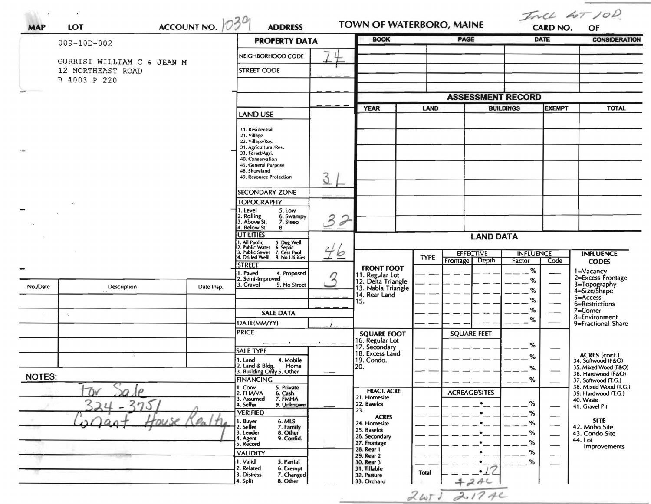| <b>MAP</b>                                      | <b>LOT</b>                  | ACCOUNT NO.                                   | <b>ADDRESS</b>                                                                                  |                            | TOWN OF WATERBORO, MAINE<br><b>BOOK</b>                    |                  |                          | Incl 60T 10D<br><b>CARD NO.</b><br>OF |                                           |                                              |  |
|-------------------------------------------------|-----------------------------|-----------------------------------------------|-------------------------------------------------------------------------------------------------|----------------------------|------------------------------------------------------------|------------------|--------------------------|---------------------------------------|-------------------------------------------|----------------------------------------------|--|
|                                                 | 009-10D-002                 |                                               |                                                                                                 | <b>PROPERTY DATA</b>       |                                                            |                  | <b>PAGE</b>              |                                       | <b>DATE</b>                               | <b>CONSIDERATION</b>                         |  |
|                                                 |                             | NEIGHBORHOOD CODE                             | 4                                                                                               |                            |                                                            |                  |                          |                                       |                                           |                                              |  |
| GURRISI WILLIAM C & JEAN M<br>12 NORTHEAST ROAD |                             |                                               | <b>STREET CODE</b>                                                                              |                            |                                                            |                  |                          |                                       |                                           |                                              |  |
|                                                 | B 4003 P 220                |                                               |                                                                                                 |                            |                                                            |                  |                          |                                       |                                           |                                              |  |
|                                                 |                             |                                               |                                                                                                 |                            |                                                            |                  |                          |                                       |                                           |                                              |  |
|                                                 |                             |                                               |                                                                                                 |                            |                                                            |                  | <b>ASSESSMENT RECORD</b> |                                       |                                           |                                              |  |
|                                                 |                             |                                               | <b>LAND USE</b>                                                                                 |                            | <b>YEAR</b>                                                | <b>LAND</b>      |                          | <b>BUILDINGS</b>                      | <b>EXEMPT</b>                             | <b>TOTAL</b>                                 |  |
|                                                 |                             |                                               |                                                                                                 |                            |                                                            |                  |                          |                                       |                                           |                                              |  |
|                                                 |                             |                                               | 11. Residential<br>21. Village                                                                  |                            |                                                            |                  |                          |                                       |                                           |                                              |  |
|                                                 |                             |                                               | 22. Village/Res.<br>31. Agricultural/Res.                                                       |                            |                                                            |                  |                          |                                       |                                           |                                              |  |
|                                                 |                             |                                               | 33. Forest/Agri.<br>40. Conservation                                                            |                            |                                                            |                  |                          |                                       |                                           |                                              |  |
|                                                 |                             |                                               | 45. General Purpose<br>48. Shoreland                                                            |                            |                                                            |                  |                          |                                       |                                           |                                              |  |
|                                                 |                             |                                               | 49. Resource Protection                                                                         | 3                          |                                                            |                  |                          |                                       |                                           |                                              |  |
|                                                 |                             |                                               | <b>SECONDARY ZONE</b>                                                                           |                            |                                                            |                  |                          |                                       |                                           |                                              |  |
|                                                 |                             |                                               | <b>TOPOGRAPHY</b>                                                                               |                            |                                                            |                  |                          |                                       |                                           |                                              |  |
|                                                 |                             |                                               | †1. Level<br>5. Low<br>2. Rolling<br>3. Above St.<br>6. Swampy                                  | 3<br>$\tilde{\mathcal{L}}$ |                                                            |                  |                          |                                       |                                           |                                              |  |
|                                                 |                             |                                               | 7. Steep<br>4. Below St.<br>8.                                                                  |                            |                                                            |                  |                          |                                       |                                           |                                              |  |
|                                                 |                             | <b>UTILITIES</b>                              |                                                                                                 | <b>LAND DATA</b>           |                                                            |                  |                          |                                       |                                           |                                              |  |
|                                                 |                             |                                               | 1. All Public<br>2. Public Water<br>3. Public Sewer<br>5. Dug Well<br>6. Septic<br>7. Cess Pool | 46                         |                                                            | <b>EFFECTIVE</b> |                          | <b>INFLUENCE</b>                      |                                           | <b>INFLUENCE</b>                             |  |
|                                                 |                             |                                               | 4. Drilled Well<br>9. No Utilities<br><b>STREET</b>                                             |                            |                                                            | <b>TYPE</b>      | Frontage Depth           | Factor                                | Code                                      | <b>CODES</b>                                 |  |
|                                                 |                             |                                               | 1. Paved<br>4. Proposed                                                                         |                            | <b>FRONT FOOT</b><br>11. Regular Lot<br>12. Delta Triangle |                  |                          | %                                     |                                           | 1=Vacancy<br>2=Excess Frontage               |  |
| No./Date                                        | Description                 | Date Insp.                                    | 2. Semi-Improved<br>3. Gravel<br>9. No Street                                                   |                            | 13. Nabla Triangle                                         |                  |                          | %                                     |                                           | 3=Topography<br>4=Size/Shape                 |  |
|                                                 |                             |                                               |                                                                                                 |                            | 14. Rear Land<br>15.                                       |                  |                          | %<br>%                                |                                           | $5 =$ Access                                 |  |
|                                                 |                             |                                               | <b>SALE DATA</b>                                                                                |                            |                                                            |                  |                          | %                                     |                                           | 6=Restrictions<br>7=Corner                   |  |
|                                                 | $\mathcal{F}_{\mathcal{A}}$ |                                               | DATE(MM/YY)                                                                                     |                            |                                                            |                  |                          | %                                     |                                           | 8=Environment<br>9=Fractional Share          |  |
|                                                 |                             |                                               | <b>PRICE</b>                                                                                    |                            | <b>SQUARE FOOT</b>                                         |                  | <b>SQUARE FEET</b>       |                                       |                                           |                                              |  |
|                                                 |                             |                                               | $--- - - - - - - - -$                                                                           |                            | 16. Regular Lot<br>17. Secondary                           |                  |                          | %                                     |                                           |                                              |  |
|                                                 |                             |                                               | <b>SALE TYPE</b>                                                                                |                            | 18. Excess Land                                            |                  |                          | %                                     |                                           | ACRES (cont.)<br>34. Softwood (F&O)          |  |
|                                                 |                             |                                               | 1. Land<br>4. Mobile<br>2. Land & Bldg.<br>Home                                                 |                            | 19. Condo.<br>[20.                                         |                  |                          | %                                     |                                           | 35. Mixed Wood (F&O)                         |  |
| <b>NOTES:</b>                                   |                             | 3. Building Only 5. Other<br><b>FINANCING</b> |                                                                                                 |                            |                                                            |                  | %                        |                                       | 36. Hardwood (F&O)<br>37. Softwood (T.C.) |                                              |  |
|                                                 | $\mathcal{D}$               |                                               | 1. Conv.<br>5. Private<br>2. FHAVA<br>6. Cash                                                   |                            | <b>FRACT. ACRE</b>                                         |                  | <b>ACREAGE/SITES</b>     |                                       |                                           | 38. Mixed Wood (T.G.)<br>39. Hardwood (T.G.) |  |
|                                                 |                             |                                               | 7. FMHA<br>3. Assumed<br>9. Unknown<br>4. Seller                                                |                            | 21. Homesite<br>22. Baselot                                |                  | $\bullet$                | %                                     |                                           | 40. Waste                                    |  |
|                                                 |                             |                                               | <b>VERIFIED</b>                                                                                 |                            | 23.<br><b>ACRES</b>                                        |                  |                          | %                                     |                                           | 41. Gravel Pit                               |  |
|                                                 |                             |                                               | . Buyer<br>. Seller<br>6. MLS                                                                   |                            | 24. Homesite                                               |                  |                          | %                                     |                                           | <b>SITE</b><br>42. Moho Site                 |  |
|                                                 |                             |                                               | 7. Family<br>8. Other<br>3. Lender<br>9. Confid.<br>4. Agent                                    |                            | 25. Baselot<br>26. Secondary                               |                  |                          | $\%$                                  |                                           | 43. Condo Site                               |  |
|                                                 |                             | 5. Record                                     |                                                                                                 | 27. Frontage<br>28. Rear 1 |                                                            |                  | $\%$                     |                                       | 44. Lot<br>Improvements                   |                                              |  |
|                                                 |                             |                                               | <b>VALIDITY</b><br>1. Valid<br>5. Partial                                                       |                            | 29. Rear 2                                                 |                  |                          | %<br>%                                |                                           |                                              |  |
|                                                 |                             |                                               | 2. Related<br>6. Exempt                                                                         |                            | 30. Rear 3<br>31. Tillable                                 | <b>Total</b>     |                          |                                       |                                           |                                              |  |
|                                                 |                             |                                               | 3. Distress<br>7. Changed<br>4. Split<br>8. Other                                               |                            | 32. Pasture<br>33. Orchard                                 |                  | 424c                     |                                       |                                           |                                              |  |